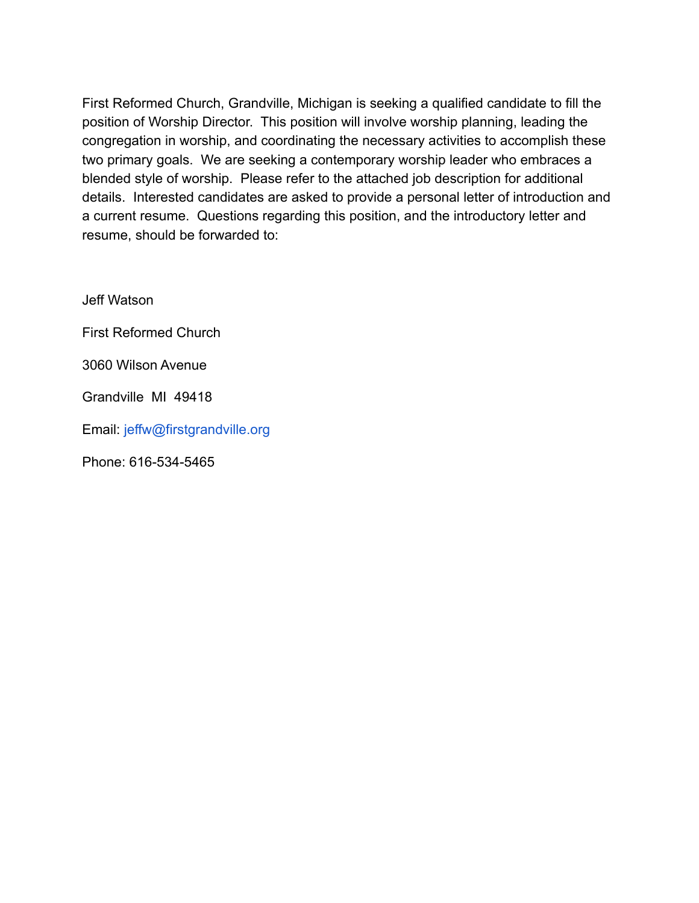First Reformed Church, Grandville, Michigan is seeking a qualified candidate to fill the position of Worship Director. This position will involve worship planning, leading the congregation in worship, and coordinating the necessary activities to accomplish these two primary goals. We are seeking a contemporary worship leader who embraces a blended style of worship. Please refer to the attached job description for additional details. Interested candidates are asked to provide a personal letter of introduction and a current resume. Questions regarding this position, and the introductory letter and resume, should be forwarded to:

Jeff Watson

First Reformed Church

3060 Wilson Avenue

Grandville MI 49418

Email: jeffw@firstgrandville.org

Phone: 616-534-5465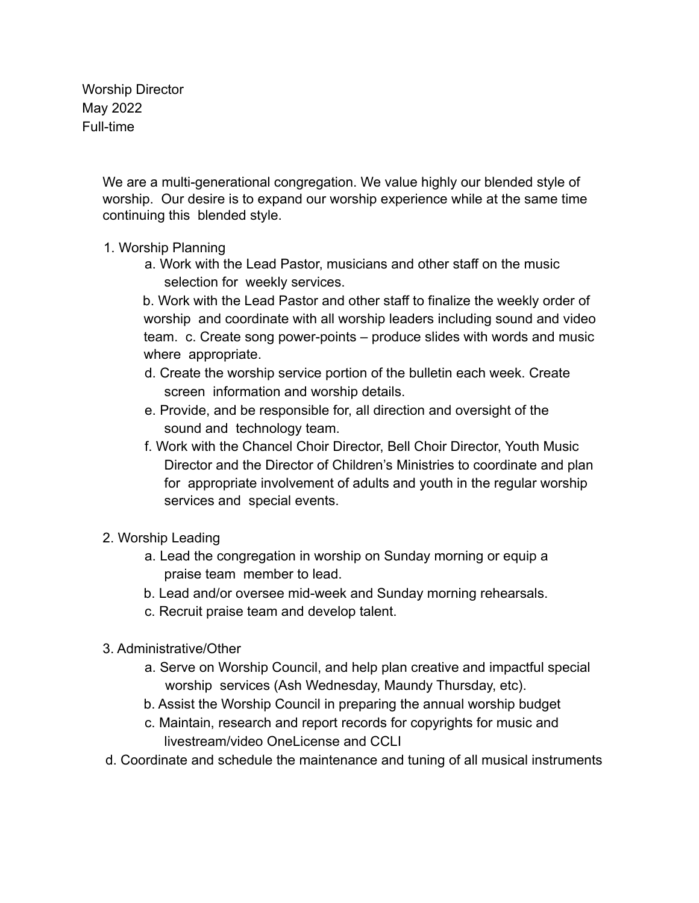Worship Director May 2022 Full-time

> We are a multi-generational congregation. We value highly our blended style of worship. Our desire is to expand our worship experience while at the same time continuing this blended style.

## 1. Worship Planning

a. Work with the Lead Pastor, musicians and other staff on the music selection for weekly services.

b. Work with the Lead Pastor and other staff to finalize the weekly order of worship and coordinate with all worship leaders including sound and video team. c. Create song power-points – produce slides with words and music where appropriate.

- d. Create the worship service portion of the bulletin each week. Create screen information and worship details.
- e. Provide, and be responsible for, all direction and oversight of the sound and technology team.
- f. Work with the Chancel Choir Director, Bell Choir Director, Youth Music Director and the Director of Children's Ministries to coordinate and plan for appropriate involvement of adults and youth in the regular worship services and special events.
- 2. Worship Leading
	- a. Lead the congregation in worship on Sunday morning or equip a praise team member to lead.
	- b. Lead and/or oversee mid-week and Sunday morning rehearsals.
	- c. Recruit praise team and develop talent.
- 3. Administrative/Other
	- a. Serve on Worship Council, and help plan creative and impactful special worship services (Ash Wednesday, Maundy Thursday, etc).
	- b. Assist the Worship Council in preparing the annual worship budget
	- c. Maintain, research and report records for copyrights for music and livestream/video OneLicense and CCLI
- d. Coordinate and schedule the maintenance and tuning of all musical instruments